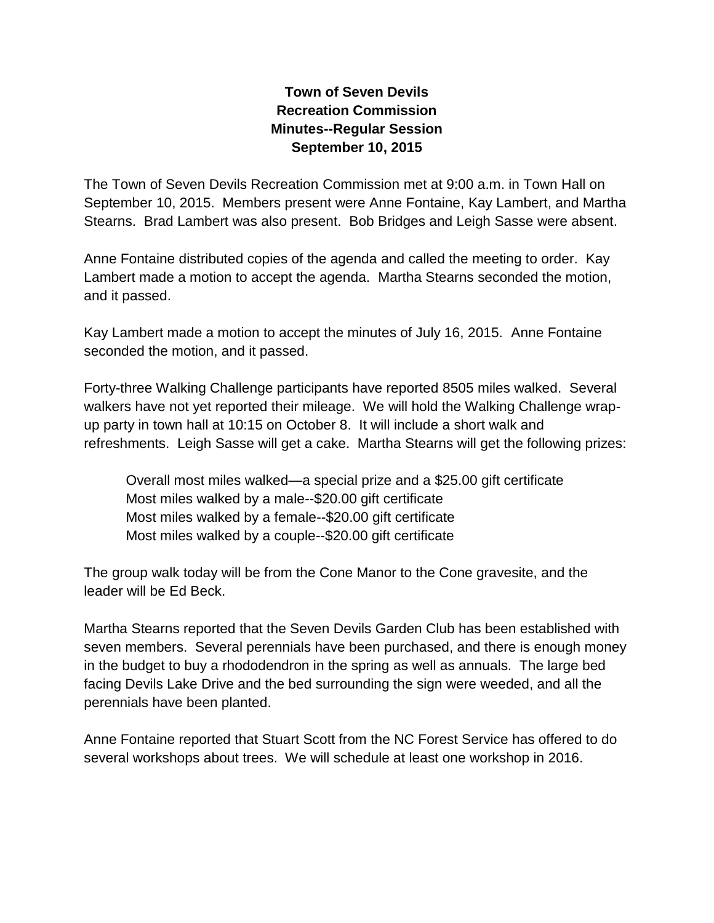## **Town of Seven Devils Recreation Commission Minutes--Regular Session September 10, 2015**

The Town of Seven Devils Recreation Commission met at 9:00 a.m. in Town Hall on September 10, 2015. Members present were Anne Fontaine, Kay Lambert, and Martha Stearns. Brad Lambert was also present. Bob Bridges and Leigh Sasse were absent.

Anne Fontaine distributed copies of the agenda and called the meeting to order. Kay Lambert made a motion to accept the agenda. Martha Stearns seconded the motion, and it passed.

Kay Lambert made a motion to accept the minutes of July 16, 2015. Anne Fontaine seconded the motion, and it passed.

Forty-three Walking Challenge participants have reported 8505 miles walked. Several walkers have not yet reported their mileage. We will hold the Walking Challenge wrapup party in town hall at 10:15 on October 8. It will include a short walk and refreshments. Leigh Sasse will get a cake. Martha Stearns will get the following prizes:

Overall most miles walked—a special prize and a \$25.00 gift certificate Most miles walked by a male--\$20.00 gift certificate Most miles walked by a female--\$20.00 gift certificate Most miles walked by a couple--\$20.00 gift certificate

The group walk today will be from the Cone Manor to the Cone gravesite, and the leader will be Ed Beck.

Martha Stearns reported that the Seven Devils Garden Club has been established with seven members. Several perennials have been purchased, and there is enough money in the budget to buy a rhododendron in the spring as well as annuals. The large bed facing Devils Lake Drive and the bed surrounding the sign were weeded, and all the perennials have been planted.

Anne Fontaine reported that Stuart Scott from the NC Forest Service has offered to do several workshops about trees. We will schedule at least one workshop in 2016.